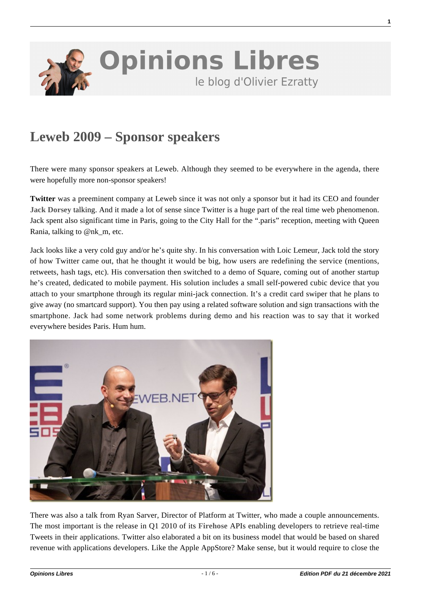

## **[Leweb 2009 – Sponsor speakers](https://www.oezratty.net/wordpress/2009/leweb-2009-sponsor-speakers/)**

There were many sponsor speakers at Leweb. Although they seemed to be everywhere in the agenda, there were hopefully more non-sponsor speakers!

**Twitter** was a preeminent company at Leweb since it was not only a sponsor but it had its CEO and founder **[Jack Dorsey](http://www.ustream.tv/recorded/2747998)** talking. And it made a lot of sense since Twitter is a huge part of the real time web phenomenon. Jack spent also significant time in Paris, going to the City Hall for the ".paris" reception, meeting with Queen Rania, talking to @nk\_m, etc.

Jack looks like a very cold guy and/or he's quite shy. In his conversation with Loic Lemeur, Jack told the story of how Twitter came out, that he thought it would be big, how users are redefining the service (mentions, retweets, hash tags, etc). His conversation then switched to a demo of Square, coming out of another startup he's created, dedicated to mobile payment. His solution includes a small self-powered cubic device that you attach to your smartphone through its regular mini-jack connection. It's a credit card swiper that he plans to give away (no smartcard support). You then pay using a related software solution and sign transactions with the smartphone. Jack had some network problems during demo and his reaction was to say that it worked everywhere besides Paris. Hum hum.



There was also a talk from Ryan Sarver, Director of Platform at Twitter, who made a couple announcements. The most important is the release in Q1 2010 of its **[Firehose](http://mashable.com/2009/12/09/twitter-firehose/)** APIs enabling developers to retrieve real-time Tweets in their applications. Twitter also elaborated a bit on its business model that would be based on shared revenue with applications developers. Like the Apple AppStore? Make sense, but it would require to close the

**1**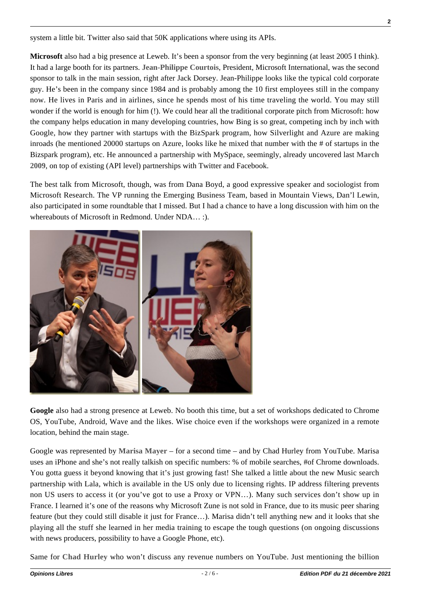system a little bit. Twitter also said that 50K applications where using its APIs.

**Microsoft** also had a big presence at Leweb. It's been a sponsor from the very beginning (at least 2005 I think). It had a large booth for its partners. **[Jean-Philippe Courtois](http://www.ustream.tv/recorded/2748079)**, President, Microsoft International, was the second sponsor to talk in the main session, right after Jack Dorsey. Jean-Philippe looks like the typical cold corporate guy. He's been in the company since 1984 and is probably among the 10 first employees still in the company now. He lives in Paris and in airlines, since he spends most of his time traveling the world. You may still wonder if the world is enough for him (!). We could hear all the traditional corporate pitch from Microsoft: how the company helps education in many developing countries, how Bing is so great, competing inch by inch with Google, how they partner with startups with the BizSpark program, how Silverlight and Azure are making inroads (he mentioned 20000 startups on Azure, looks like he mixed that number with the # of startups in the Bizspark program), etc. He announced a partnership with MySpace, seemingly, already uncovered last **[March](http://www.techcrunch.com/2009/03/30/myspace-embraces-microsoft-platforms-for-mobile-and-web-applications/) [2009](http://www.techcrunch.com/2009/03/30/myspace-embraces-microsoft-platforms-for-mobile-and-web-applications/)**, on top of existing (API level) partnerships with Twitter and Facebook.

The best talk from Microsoft, though, was from Dana Boyd, a good expressive speaker and sociologist from Microsoft Research. The VP running the Emerging Business Team, based in Mountain Views, Dan'l Lewin, also participated in some roundtable that I missed. But I had a chance to have a long discussion with him on the whereabouts of Microsoft in Redmond. Under NDA… :).



**Google** also had a strong presence at Leweb. No booth this time, but a set of workshops dedicated to Chrome OS, YouTube, Android, Wave and the likes. Wise choice even if the workshops were organized in a remote location, behind the main stage.

Google was represented by **[Marisa Mayer](http://www.techcrunch.com/2009/12/09/marissa-mayer-le-web-2009/)** – for a second time – and by Chad Hurley from YouTube. Marisa uses an iPhone and she's not really talkish on specific numbers: % of mobile searches, #of Chrome downloads. You gotta guess it beyond knowing that it's just growing fast! She talked a little about the new Music search partnership with Lala, which is available in the US only due to licensing rights. IP address filtering prevents non US users to access it (or you've got to use a Proxy or VPN…). Many such services don't show up in France. I learned it's one of the reasons why Microsoft Zune is not sold in France, due to its music peer sharing feature (but they could still disable it just for France…). Marisa didn't tell anything new and it looks that she playing all the stuff she learned in her media training to escape the tough questions (on ongoing discussions with news producers, possibility to have a Google Phone, etc).

Same for **[Chad Hurley](http://www.techcrunch.com/2009/12/09/chad-hurley-le-web-2009/)** who won't discuss any revenue numbers on YouTube. Just mentioning the billion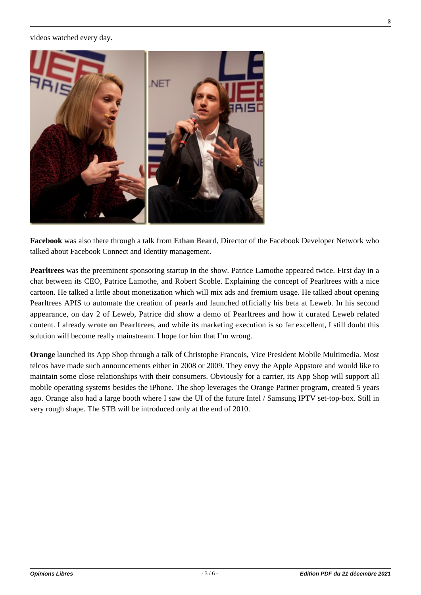videos watched every day.



**Facebook** was also there through a talk from **[Ethan Beard](http://www.ustream.tv/recorded/2748281)**, Director of the Facebook Developer Network who talked about Facebook Connect and Identity management.

**Pearltrees** was the preeminent sponsoring startup in the show. Patrice Lamothe appeared twice. First day in a chat between its CEO, Patrice Lamothe, and Robert Scoble. Explaining the concept of Pearltrees with a nice cartoon. He talked a little about monetization which will mix ads and fremium usage. He talked about opening Pearltrees APIS to automate the creation of pearls and launched officially his beta at Leweb. In his second appearance, on day 2 of Leweb, Patrice did show a demo of Pearltrees and how it curated Leweb related content. I already **[wrote on Pearltrees](https://www.oezratty.net/wordpress/2009/with-the-traveling-geeks-pearltrees/)**, and while its marketing execution is so far excellent, I still doubt this solution will become really mainstream. I hope for him that I'm wrong.

**Orange** launched its App Shop through a talk of Christophe Francois, Vice President Mobile Multimedia. Most telcos have made such announcements either in 2008 or 2009. They envy the Apple Appstore and would like to maintain some close relationships with their consumers. Obviously for a carrier, its App Shop will support all mobile operating systems besides the iPhone. The shop leverages the Orange Partner program, created 5 years ago. Orange also had a large booth where I saw the UI of the future Intel / Samsung IPTV set-top-box. Still in very rough shape. The STB will be introduced only at the end of 2010.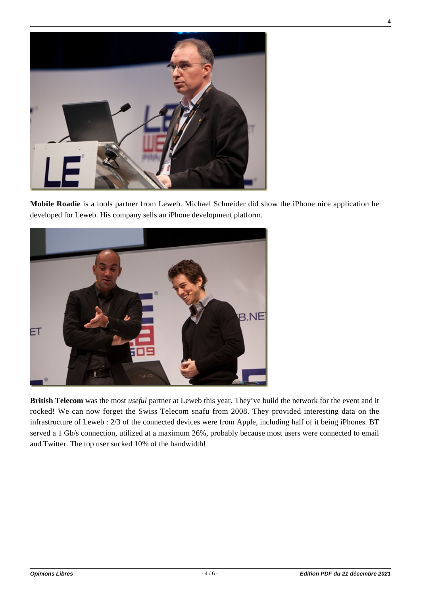

**Mobile Roadie** is a tools partner from Leweb. Michael Schneider did show the iPhone nice application he developed for Leweb. His company sells an iPhone development platform.



**British Telecom** was the most *useful* partner at Leweb this year. They've build the network for the event and it rocked! We can now forget the Swiss Telecom snafu from 2008. They provided interesting data on the infrastructure of Leweb : 2/3 of the connected devices were from Apple, including half of it being iPhones. BT served a 1 Gb/s connection, utilized at a maximum 26%, probably because most users were connected to email and Twitter. The top user sucked 10% of the bandwidth!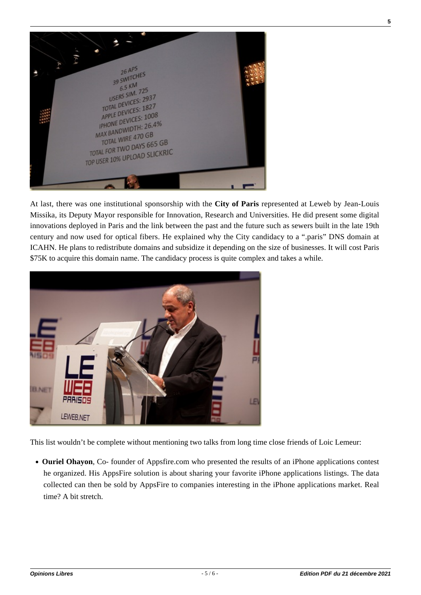

At last, there was one institutional sponsorship with the **City of Paris** represented at Leweb by Jean-Louis Missika, its Deputy Mayor responsible for Innovation, Research and Universities. He did present some digital innovations deployed in Paris and the link between the past and the future such as sewers built in the late 19th century and now used for optical fibers. He explained why the City candidacy to a ".paris" DNS domain at ICAHN. He plans to redistribute domains and subsidize it depending on the size of businesses. It will cost Paris \$75K to acquire this domain name. The candidacy process is quite complex and takes a while.



This list wouldn't be complete without mentioning two talks from long time close friends of Loic Lemeur:

**Ouriel Ohayon**, Co- founder of Appsfire.com who presented the results of an iPhone applications contest he organized. His AppsFire solution is about sharing your favorite iPhone applications listings. The data collected can then be sold by AppsFire to companies interesting in the iPhone applications market. Real time? A bit stretch.